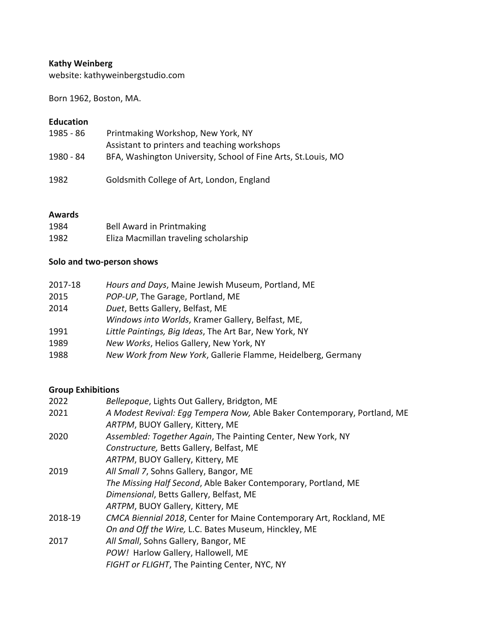## **Kathy Weinberg**

website: kathyweinbergstudio.com

Born 1962, Boston, MA.

### **Education**

| 1985 - 86 | Printmaking Workshop, New York, NY<br>Assistant to printers and teaching workshops |
|-----------|------------------------------------------------------------------------------------|
| 1980 - 84 | BFA, Washington University, School of Fine Arts, St. Louis, MO                     |
| 1982      | Goldsmith College of Art, London, England                                          |

#### **Awards**

| 1984 | Bell Award in Printmaking             |
|------|---------------------------------------|
| 1982 | Eliza Macmillan traveling scholarship |

## Solo and two-person shows

| 2017-18 | Hours and Days, Maine Jewish Museum, Portland, ME            |
|---------|--------------------------------------------------------------|
| 2015    | POP-UP, The Garage, Portland, ME                             |
| 2014    | Duet, Betts Gallery, Belfast, ME                             |
|         | Windows into Worlds, Kramer Gallery, Belfast, ME,            |
| 1991    | Little Paintings, Big Ideas, The Art Bar, New York, NY       |
| 1989    | New Works, Helios Gallery, New York, NY                      |
| 1988    | New Work from New York, Gallerie Flamme, Heidelberg, Germany |

### **Group Exhibitions**

| 2022    | Bellepoque, Lights Out Gallery, Bridgton, ME                             |
|---------|--------------------------------------------------------------------------|
| 2021    | A Modest Revival: Egg Tempera Now, Able Baker Contemporary, Portland, ME |
|         | ARTPM, BUOY Gallery, Kittery, ME                                         |
| 2020    | Assembled: Together Again, The Painting Center, New York, NY             |
|         | Constructure, Betts Gallery, Belfast, ME                                 |
|         | ARTPM, BUOY Gallery, Kittery, ME                                         |
| 2019    | All Small 7, Sohns Gallery, Bangor, ME                                   |
|         | The Missing Half Second, Able Baker Contemporary, Portland, ME           |
|         | Dimensional, Betts Gallery, Belfast, ME                                  |
|         | ARTPM, BUOY Gallery, Kittery, ME                                         |
| 2018-19 | CMCA Biennial 2018, Center for Maine Contemporary Art, Rockland, ME      |
|         | On and Off the Wire, L.C. Bates Museum, Hinckley, ME                     |
| 2017    | All Small, Sohns Gallery, Bangor, ME                                     |
|         | POW! Harlow Gallery, Hallowell, ME                                       |
|         | FIGHT or FLIGHT, The Painting Center, NYC, NY                            |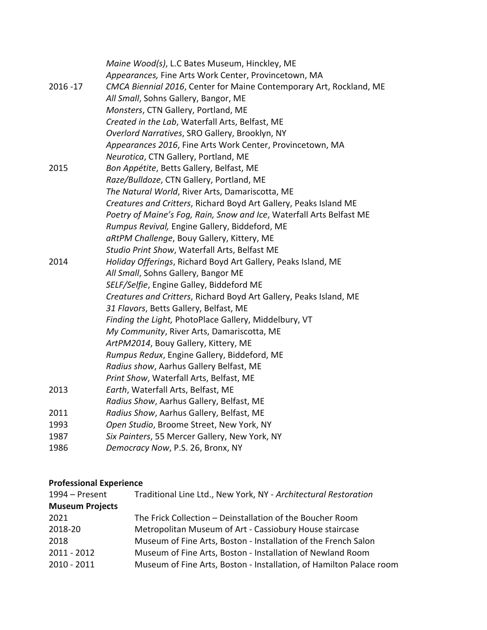|             | Maine Wood(s), L.C Bates Museum, Hinckley, ME                        |
|-------------|----------------------------------------------------------------------|
|             | Appearances, Fine Arts Work Center, Provincetown, MA                 |
| $2016 - 17$ | CMCA Biennial 2016, Center for Maine Contemporary Art, Rockland, ME  |
|             | All Small, Sohns Gallery, Bangor, ME                                 |
|             | Monsters, CTN Gallery, Portland, ME                                  |
|             | Created in the Lab, Waterfall Arts, Belfast, ME                      |
|             | Overlord Narratives, SRO Gallery, Brooklyn, NY                       |
|             | Appearances 2016, Fine Arts Work Center, Provincetown, MA            |
|             | Neurotica, CTN Gallery, Portland, ME                                 |
| 2015        | Bon Appétite, Betts Gallery, Belfast, ME                             |
|             | Raze/Bulldoze, CTN Gallery, Portland, ME                             |
|             | The Natural World, River Arts, Damariscotta, ME                      |
|             | Creatures and Critters, Richard Boyd Art Gallery, Peaks Island ME    |
|             | Poetry of Maine's Fog, Rain, Snow and Ice, Waterfall Arts Belfast ME |
|             | Rumpus Revival, Engine Gallery, Biddeford, ME                        |
|             | aRtPM Challenge, Bouy Gallery, Kittery, ME                           |
|             | Studio Print Show, Waterfall Arts, Belfast ME                        |
| 2014        | Holiday Offerings, Richard Boyd Art Gallery, Peaks Island, ME        |
|             | All Small, Sohns Gallery, Bangor ME                                  |
|             | SELF/Selfie, Engine Galley, Biddeford ME                             |
|             | Creatures and Critters, Richard Boyd Art Gallery, Peaks Island, ME   |
|             | 31 Flavors, Betts Gallery, Belfast, ME                               |
|             | Finding the Light, PhotoPlace Gallery, Middelbury, VT                |
|             | My Community, River Arts, Damariscotta, ME                           |
|             | ArtPM2014, Bouy Gallery, Kittery, ME                                 |
|             | Rumpus Redux, Engine Gallery, Biddeford, ME                          |
|             | Radius show, Aarhus Gallery Belfast, ME                              |
|             | Print Show, Waterfall Arts, Belfast, ME                              |
| 2013        | Earth, Waterfall Arts, Belfast, ME                                   |
|             | Radius Show, Aarhus Gallery, Belfast, ME                             |
| 2011        | Radius Show, Aarhus Gallery, Belfast, ME                             |
| 1993        | Open Studio, Broome Street, New York, NY                             |
| 1987        | Six Painters, 55 Mercer Gallery, New York, NY                        |
| 1986        | Democracy Now, P.S. 26, Bronx, NY                                    |

# **Professional Experience**

| Traditional Line Ltd., New York, NY - Architectural Restoration     |
|---------------------------------------------------------------------|
|                                                                     |
| The Frick Collection - Deinstallation of the Boucher Room           |
| Metropolitan Museum of Art - Cassiobury House staircase             |
| Museum of Fine Arts, Boston - Installation of the French Salon      |
| Museum of Fine Arts, Boston - Installation of Newland Room          |
| Museum of Fine Arts, Boston - Installation, of Hamilton Palace room |
|                                                                     |